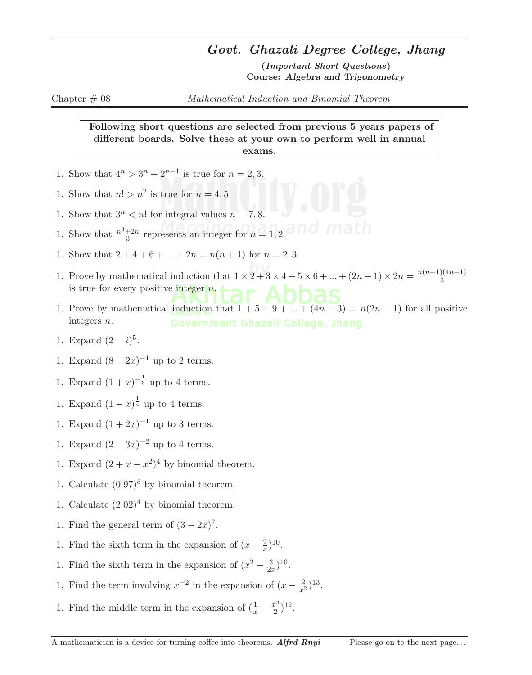## Govt. Ghazali Degree College, Jhang

(Important Short Questions) Course: Algebra and Trigonometry

Following short questions are selected from previous 5 years papers of different boards. Solve these at your own to perform well in annual exams.

- 1. Show that  $4^n > 3^n + 2^{n-1}$  is true for  $n = 2, 3$ .
- 1. Show that  $n! > n^2$  is true for  $n = 4, 5$ .
- 1. Show that  $3^n < n!$  for integral values  $n = 7, 8$ .
- 1. Show that  $\frac{n^3+2n}{3}$  $\frac{+2n}{3}$  represents an integer for  $n = 1, 2$ .
- 1. Show that  $2 + 4 + 6 + \ldots + 2n = n(n + 1)$  for  $n = 2, 3$ .
- 1. Prove by mathematical induction that  $1 \times 2 + 3 \times 4 + 5 \times 6 + ... + (2n 1) \times 2n = \frac{n(n+1)(4n-1)}{3}$ 3 is true for every positive integer  $n$ .
- 1. Prove by mathematical induction that  $1 + 5 + 9 + ... + (4n 3) = n(2n 1)$  for all positive integers n.
- 1. Expand  $(2-i)^5$ .
- 1. Expand  $(8-2x)^{-1}$  up to 2 terms.
- 1. Expand  $(1+x)^{-\frac{1}{3}}$  up to 4 terms.
- 1. Expand  $(1-x)^{\frac{1}{4}}$  up to 4 terms.
- 1. Expand  $(1 + 2x)^{-1}$  up to 3 terms.
- 1. Expand  $(2-3x)^{-2}$  up to 4 terms.
- 1. Expand  $(2 + x x^2)^4$  by binomial theorem.
- 1. Calculate  $(0.97)^3$  by binomial theorem.
- 1. Calculate  $(2.02)^4$  by binomial theorem.
- 1. Find the general term of  $(3-2x)^7$ .
- 1. Find the sixth term in the expansion of  $(x-\frac{2}{x})$  $(\frac{2}{x})^{10}$ .
- 1. Find the sixth term in the expansion of  $(x^2 \frac{3}{2})$  $\frac{3}{2x}$ )<sup>10</sup>.
- 1. Find the term involving  $x^{-2}$  in the expansion of  $(x \frac{2}{x^2})^{13}$ .
- 1. Find the middle term in the expansion of  $(\frac{1}{x} \frac{x^2}{2})$  $(\frac{x^2}{2})^{12}$ .